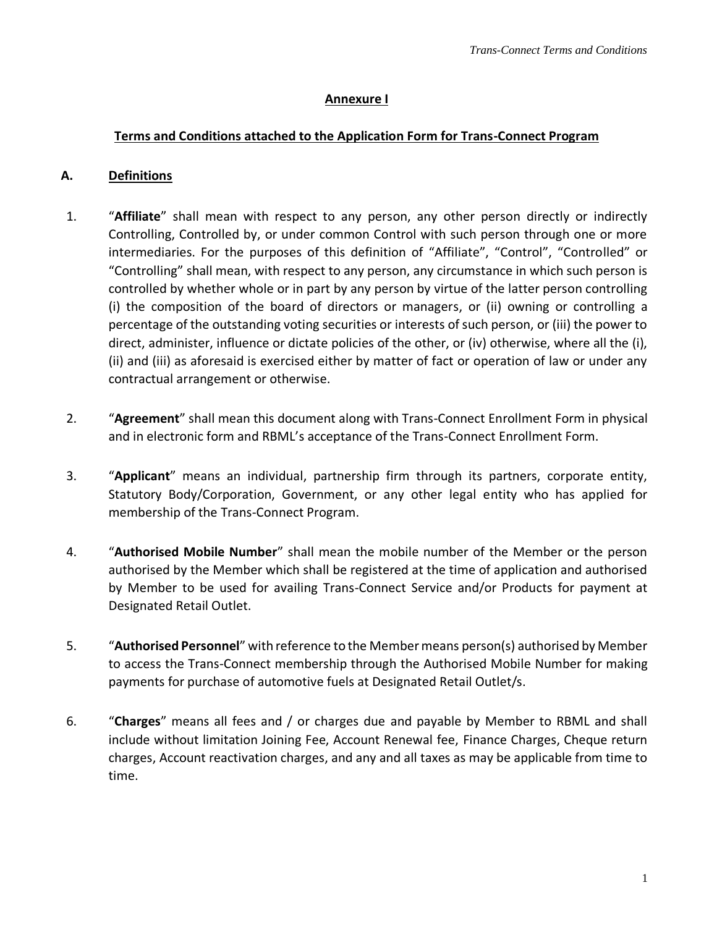### **Annexure I**

## **Terms and Conditions attached to the Application Form for Trans-Connect Program**

#### **A. Definitions**

- 1. "**Affiliate**" shall mean with respect to any person, any other person directly or indirectly Controlling, Controlled by, or under common Control with such person through one or more intermediaries. For the purposes of this definition of "Affiliate", "Control", "Controlled" or "Controlling" shall mean, with respect to any person, any circumstance in which such person is controlled by whether whole or in part by any person by virtue of the latter person controlling (i) the composition of the board of directors or managers, or (ii) owning or controlling a percentage of the outstanding voting securities or interests of such person, or (iii) the power to direct, administer, influence or dictate policies of the other, or (iv) otherwise, where all the (i), (ii) and (iii) as aforesaid is exercised either by matter of fact or operation of law or under any contractual arrangement or otherwise.
- 2. "**Agreement**" shall mean this document along with Trans-Connect Enrollment Form in physical and in electronic form and RBML's acceptance of the Trans-Connect Enrollment Form.
- 3. "**Applicant**" means an individual, partnership firm through its partners, corporate entity, Statutory Body/Corporation, Government, or any other legal entity who has applied for membership of the Trans-Connect Program.
- 4. "**Authorised Mobile Number**" shall mean the mobile number of the Member or the person authorised by the Member which shall be registered at the time of application and authorised by Member to be used for availing Trans-Connect Service and/or Products for payment at Designated Retail Outlet.
- 5. "**Authorised Personnel**" with reference to the Member means person(s) authorised by Member to access the Trans-Connect membership through the Authorised Mobile Number for making payments for purchase of automotive fuels at Designated Retail Outlet/s.
- 6. "**Charges**" means all fees and / or charges due and payable by Member to RBML and shall include without limitation Joining Fee, Account Renewal fee, Finance Charges, Cheque return charges, Account reactivation charges, and any and all taxes as may be applicable from time to time.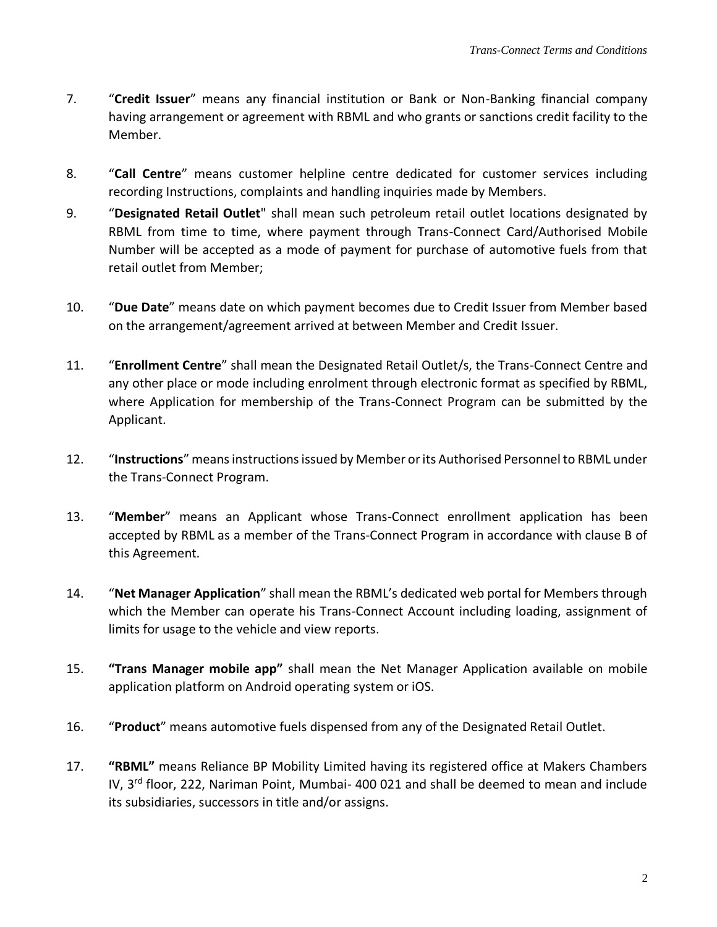- 7. "**Credit Issuer**" means any financial institution or Bank or Non-Banking financial company having arrangement or agreement with RBML and who grants or sanctions credit facility to the Member.
- 8. "**Call Centre**" means customer helpline centre dedicated for customer services including recording Instructions, complaints and handling inquiries made by Members.
- 9. "**Designated Retail Outlet**" shall mean such petroleum retail outlet locations designated by RBML from time to time, where payment through Trans-Connect Card/Authorised Mobile Number will be accepted as a mode of payment for purchase of automotive fuels from that retail outlet from Member;
- 10. "**Due Date**" means date on which payment becomes due to Credit Issuer from Member based on the arrangement/agreement arrived at between Member and Credit Issuer.
- 11. "**Enrollment Centre**" shall mean the Designated Retail Outlet/s, the Trans-Connect Centre and any other place or mode including enrolment through electronic format as specified by RBML, where Application for membership of the Trans-Connect Program can be submitted by the Applicant.
- 12. "**Instructions**" means instructions issued by Member or its Authorised Personnel to RBML under the Trans-Connect Program.
- 13. "**Member**" means an Applicant whose Trans-Connect enrollment application has been accepted by RBML as a member of the Trans-Connect Program in accordance with clause B of this Agreement.
- 14. "**Net Manager Application**" shall mean the RBML's dedicated web portal for Members through which the Member can operate his Trans-Connect Account including loading, assignment of limits for usage to the vehicle and view reports.
- 15. **"Trans Manager mobile app"** shall mean the Net Manager Application available on mobile application platform on Android operating system or iOS.
- 16. "**Product**" means automotive fuels dispensed from any of the Designated Retail Outlet.
- 17. **"RBML"** means Reliance BP Mobility Limited having its registered office at Makers Chambers IV, 3<sup>rd</sup> floor, 222, Nariman Point, Mumbai- 400 021 and shall be deemed to mean and include its subsidiaries, successors in title and/or assigns.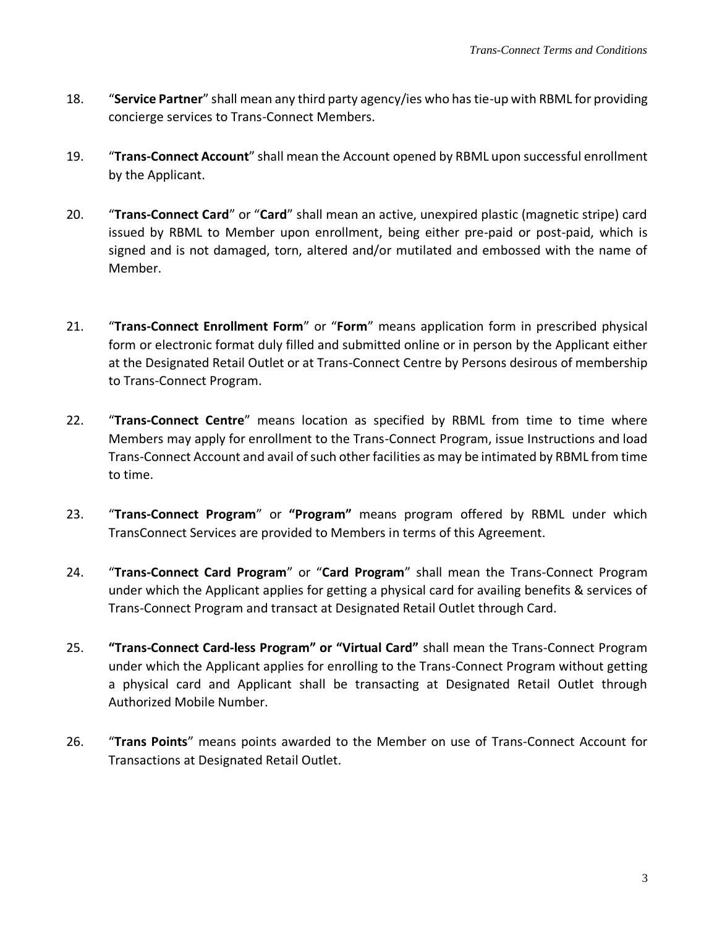- 18. "**Service Partner**" shall mean any third party agency/ies who has tie-up with RBML for providing concierge services to Trans-Connect Members.
- 19. "**Trans-Connect Account**" shall mean the Account opened by RBML upon successful enrollment by the Applicant.
- 20. "**Trans-Connect Card**" or "**Card**" shall mean an active, unexpired plastic (magnetic stripe) card issued by RBML to Member upon enrollment, being either pre-paid or post-paid, which is signed and is not damaged, torn, altered and/or mutilated and embossed with the name of Member.
- 21. "**Trans-Connect Enrollment Form**" or "**Form**" means application form in prescribed physical form or electronic format duly filled and submitted online or in person by the Applicant either at the Designated Retail Outlet or at Trans-Connect Centre by Persons desirous of membership to Trans-Connect Program.
- 22. "**Trans-Connect Centre**" means location as specified by RBML from time to time where Members may apply for enrollment to the Trans-Connect Program, issue Instructions and load Trans-Connect Account and avail of such other facilities as may be intimated by RBML from time to time.
- 23. "**Trans-Connect Program**" or **"Program"** means program offered by RBML under which TransConnect Services are provided to Members in terms of this Agreement.
- 24. "**Trans-Connect Card Program**" or "**Card Program**" shall mean the Trans-Connect Program under which the Applicant applies for getting a physical card for availing benefits & services of Trans-Connect Program and transact at Designated Retail Outlet through Card.
- 25. **"Trans-Connect Card-less Program" or "Virtual Card"** shall mean the Trans-Connect Program under which the Applicant applies for enrolling to the Trans-Connect Program without getting a physical card and Applicant shall be transacting at Designated Retail Outlet through Authorized Mobile Number.
- 26. "**Trans Points**" means points awarded to the Member on use of Trans-Connect Account for Transactions at Designated Retail Outlet.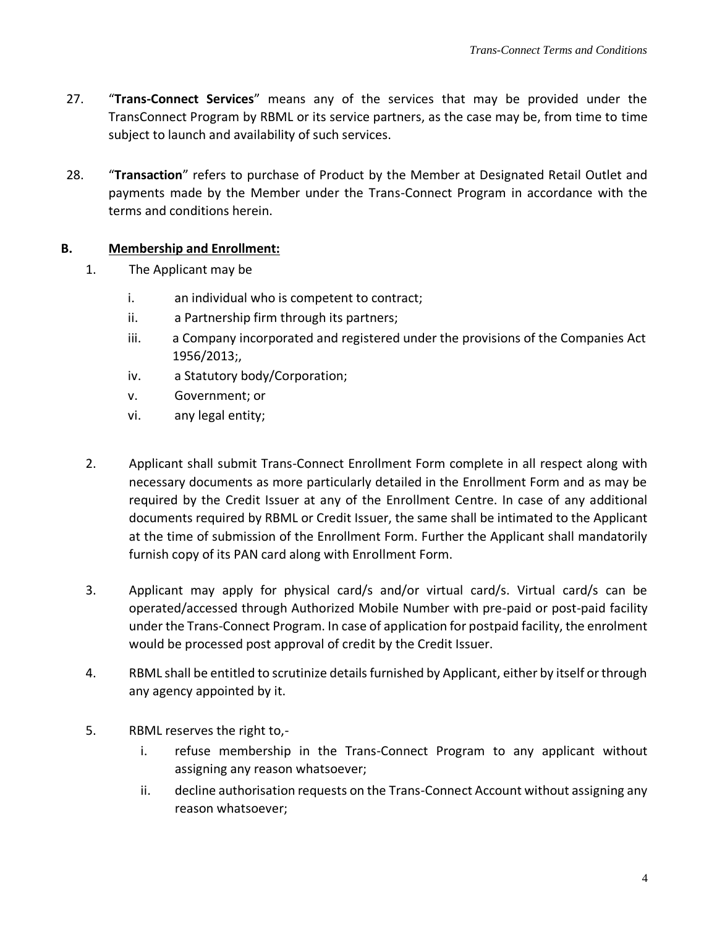- 27. "**Trans-Connect Services**" means any of the services that may be provided under the TransConnect Program by RBML or its service partners, as the case may be, from time to time subject to launch and availability of such services.
- 28. "**Transaction**" refers to purchase of Product by the Member at Designated Retail Outlet and payments made by the Member under the Trans-Connect Program in accordance with the terms and conditions herein.

## **B. Membership and Enrollment:**

- 1. The Applicant may be
	- i. an individual who is competent to contract;
	- ii. a Partnership firm through its partners;
	- iii. a Company incorporated and registered under the provisions of the Companies Act 1956/2013;,
	- iv. a Statutory body/Corporation;
	- v. Government; or
	- vi. any legal entity;
- 2. Applicant shall submit Trans-Connect Enrollment Form complete in all respect along with necessary documents as more particularly detailed in the Enrollment Form and as may be required by the Credit Issuer at any of the Enrollment Centre. In case of any additional documents required by RBML or Credit Issuer, the same shall be intimated to the Applicant at the time of submission of the Enrollment Form. Further the Applicant shall mandatorily furnish copy of its PAN card along with Enrollment Form.
- 3. Applicant may apply for physical card/s and/or virtual card/s. Virtual card/s can be operated/accessed through Authorized Mobile Number with pre-paid or post-paid facility under the Trans-Connect Program. In case of application for postpaid facility, the enrolment would be processed post approval of credit by the Credit Issuer.
- 4. RBML shall be entitled to scrutinize details furnished by Applicant, either by itself or through any agency appointed by it.
- 5. RBML reserves the right to,
	- i. refuse membership in the Trans-Connect Program to any applicant without assigning any reason whatsoever;
	- ii. decline authorisation requests on the Trans-Connect Account without assigning any reason whatsoever;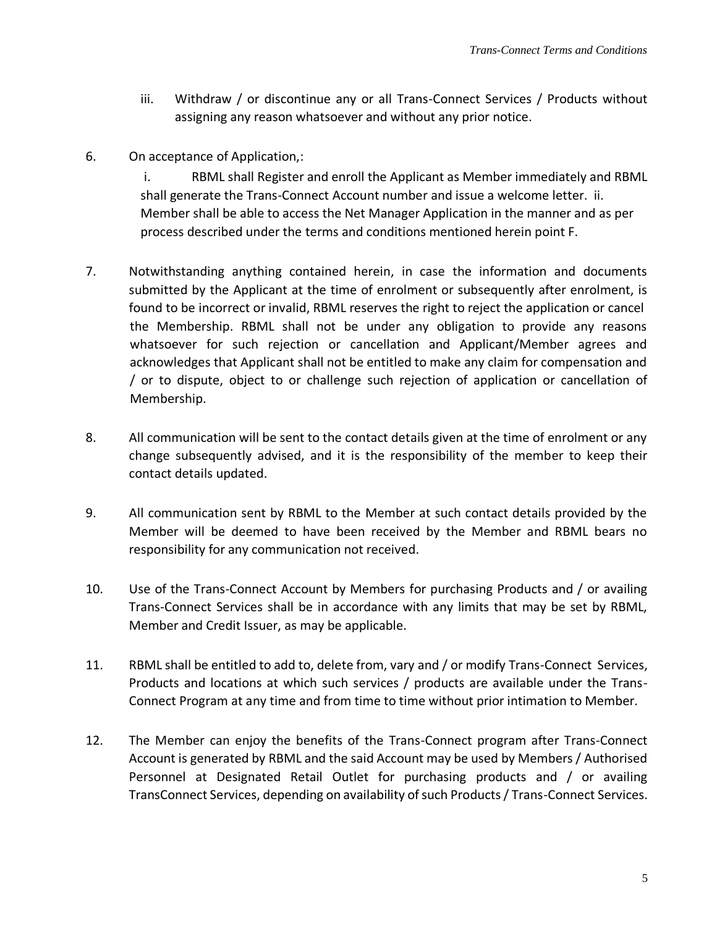- iii. Withdraw / or discontinue any or all Trans-Connect Services / Products without assigning any reason whatsoever and without any prior notice.
- 6. On acceptance of Application,:

i. RBML shall Register and enroll the Applicant as Member immediately and RBML shall generate the Trans-Connect Account number and issue a welcome letter. ii. Member shall be able to access the Net Manager Application in the manner and as per process described under the terms and conditions mentioned herein point F.

- 7. Notwithstanding anything contained herein, in case the information and documents submitted by the Applicant at the time of enrolment or subsequently after enrolment, is found to be incorrect or invalid, RBML reserves the right to reject the application or cancel the Membership. RBML shall not be under any obligation to provide any reasons whatsoever for such rejection or cancellation and Applicant/Member agrees and acknowledges that Applicant shall not be entitled to make any claim for compensation and / or to dispute, object to or challenge such rejection of application or cancellation of Membership.
- 8. All communication will be sent to the contact details given at the time of enrolment or any change subsequently advised, and it is the responsibility of the member to keep their contact details updated.
- 9. All communication sent by RBML to the Member at such contact details provided by the Member will be deemed to have been received by the Member and RBML bears no responsibility for any communication not received.
- 10. Use of the Trans-Connect Account by Members for purchasing Products and / or availing Trans-Connect Services shall be in accordance with any limits that may be set by RBML, Member and Credit Issuer, as may be applicable.
- 11. RBML shall be entitled to add to, delete from, vary and / or modify Trans-Connect Services, Products and locations at which such services / products are available under the Trans-Connect Program at any time and from time to time without prior intimation to Member.
- 12. The Member can enjoy the benefits of the Trans-Connect program after Trans-Connect Account is generated by RBML and the said Account may be used by Members / Authorised Personnel at Designated Retail Outlet for purchasing products and / or availing TransConnect Services, depending on availability of such Products / Trans-Connect Services.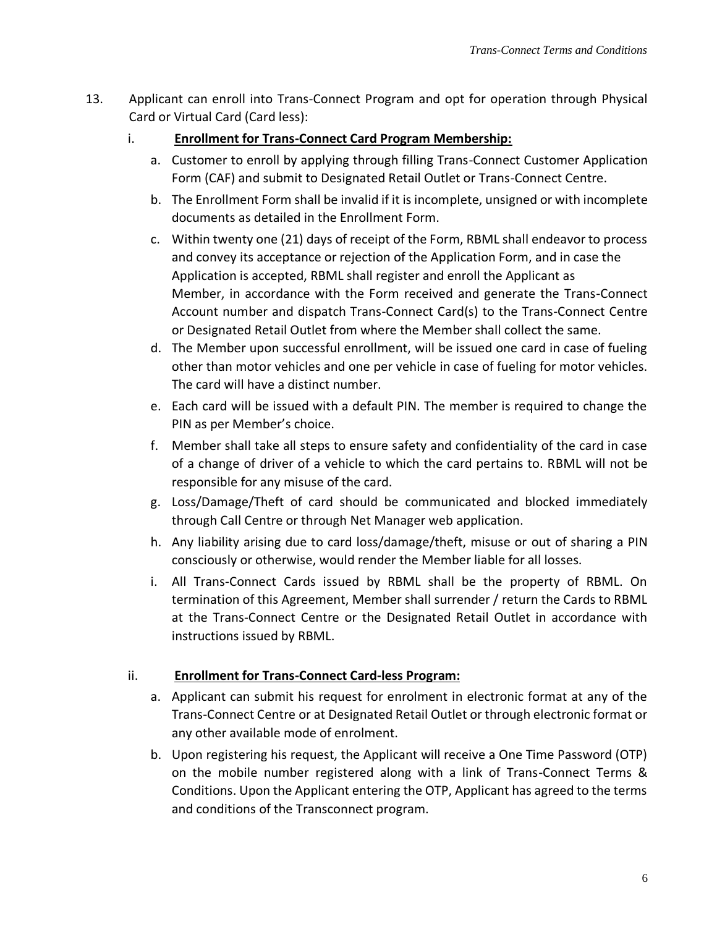- 13. Applicant can enroll into Trans-Connect Program and opt for operation through Physical Card or Virtual Card (Card less):
	- i. **Enrollment for Trans-Connect Card Program Membership:**
		- a. Customer to enroll by applying through filling Trans-Connect Customer Application Form (CAF) and submit to Designated Retail Outlet or Trans-Connect Centre.
		- b. The Enrollment Form shall be invalid if it is incomplete, unsigned or with incomplete documents as detailed in the Enrollment Form.
		- c. Within twenty one (21) days of receipt of the Form, RBML shall endeavor to process and convey its acceptance or rejection of the Application Form, and in case the Application is accepted, RBML shall register and enroll the Applicant as Member, in accordance with the Form received and generate the Trans-Connect Account number and dispatch Trans-Connect Card(s) to the Trans-Connect Centre or Designated Retail Outlet from where the Member shall collect the same.
		- d. The Member upon successful enrollment, will be issued one card in case of fueling other than motor vehicles and one per vehicle in case of fueling for motor vehicles. The card will have a distinct number.
		- e. Each card will be issued with a default PIN. The member is required to change the PIN as per Member's choice.
		- f. Member shall take all steps to ensure safety and confidentiality of the card in case of a change of driver of a vehicle to which the card pertains to. RBML will not be responsible for any misuse of the card.
		- g. Loss/Damage/Theft of card should be communicated and blocked immediately through Call Centre or through Net Manager web application.
		- h. Any liability arising due to card loss/damage/theft, misuse or out of sharing a PIN consciously or otherwise, would render the Member liable for all losses.
		- i. All Trans-Connect Cards issued by RBML shall be the property of RBML. On termination of this Agreement, Member shall surrender / return the Cards to RBML at the Trans-Connect Centre or the Designated Retail Outlet in accordance with instructions issued by RBML.

# ii. **Enrollment for Trans-Connect Card-less Program:**

- a. Applicant can submit his request for enrolment in electronic format at any of the Trans-Connect Centre or at Designated Retail Outlet or through electronic format or any other available mode of enrolment.
- b. Upon registering his request, the Applicant will receive a One Time Password (OTP) on the mobile number registered along with a link of Trans-Connect Terms & Conditions. Upon the Applicant entering the OTP, Applicant has agreed to the terms and conditions of the Transconnect program.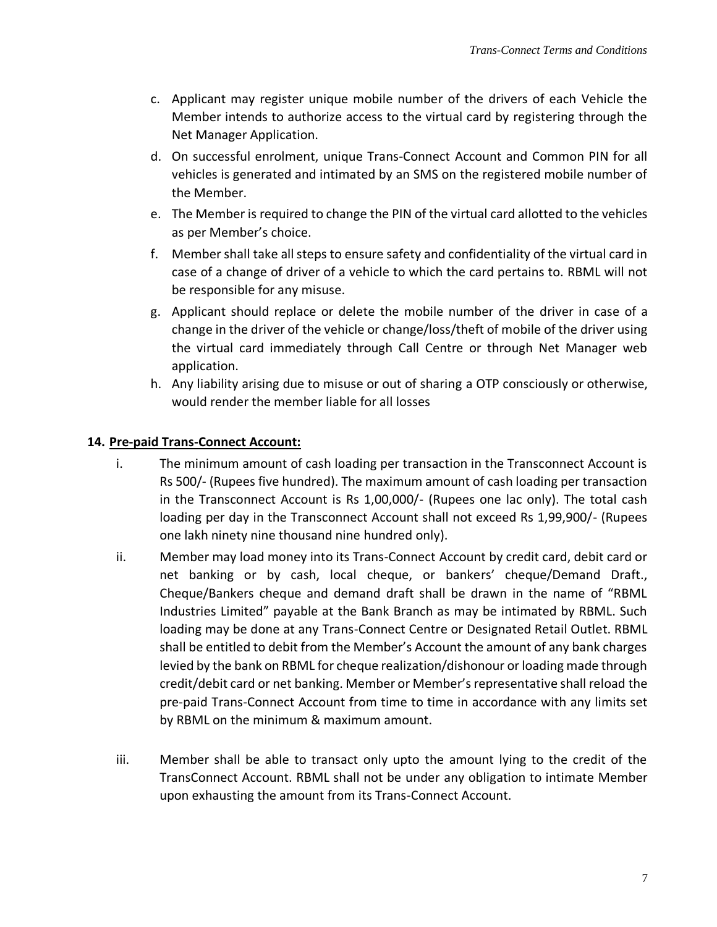- c. Applicant may register unique mobile number of the drivers of each Vehicle the Member intends to authorize access to the virtual card by registering through the Net Manager Application.
- d. On successful enrolment, unique Trans-Connect Account and Common PIN for all vehicles is generated and intimated by an SMS on the registered mobile number of the Member.
- e. The Member is required to change the PIN of the virtual card allotted to the vehicles as per Member's choice.
- f. Membershall take all steps to ensure safety and confidentiality of the virtual card in case of a change of driver of a vehicle to which the card pertains to. RBML will not be responsible for any misuse.
- g. Applicant should replace or delete the mobile number of the driver in case of a change in the driver of the vehicle or change/loss/theft of mobile of the driver using the virtual card immediately through Call Centre or through Net Manager web application.
- h. Any liability arising due to misuse or out of sharing a OTP consciously or otherwise, would render the member liable for all losses

## **14. Pre-paid Trans-Connect Account:**

- i. The minimum amount of cash loading per transaction in the Transconnect Account is Rs 500/- (Rupees five hundred). The maximum amount of cash loading per transaction in the Transconnect Account is Rs 1,00,000/- (Rupees one lac only). The total cash loading per day in the Transconnect Account shall not exceed Rs 1,99,900/- (Rupees one lakh ninety nine thousand nine hundred only).
- ii. Member may load money into its Trans-Connect Account by credit card, debit card or net banking or by cash, local cheque, or bankers' cheque/Demand Draft., Cheque/Bankers cheque and demand draft shall be drawn in the name of "RBML Industries Limited" payable at the Bank Branch as may be intimated by RBML. Such loading may be done at any Trans-Connect Centre or Designated Retail Outlet. RBML shall be entitled to debit from the Member's Account the amount of any bank charges levied by the bank on RBML for cheque realization/dishonour or loading made through credit/debit card or net banking. Member or Member's representative shall reload the pre-paid Trans-Connect Account from time to time in accordance with any limits set by RBML on the minimum & maximum amount.
- iii. Member shall be able to transact only upto the amount lying to the credit of the TransConnect Account. RBML shall not be under any obligation to intimate Member upon exhausting the amount from its Trans-Connect Account.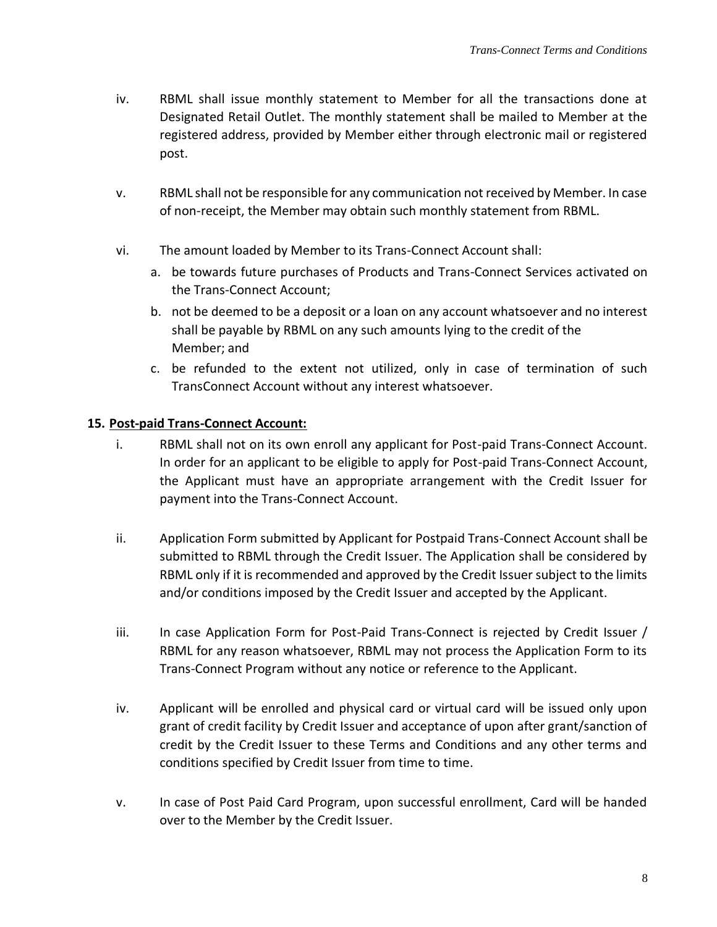- iv. RBML shall issue monthly statement to Member for all the transactions done at Designated Retail Outlet. The monthly statement shall be mailed to Member at the registered address, provided by Member either through electronic mail or registered post.
- v. RBML shall not be responsible for any communication not received by Member. In case of non-receipt, the Member may obtain such monthly statement from RBML.
- vi. The amount loaded by Member to its Trans-Connect Account shall:
	- a. be towards future purchases of Products and Trans-Connect Services activated on the Trans-Connect Account;
	- b. not be deemed to be a deposit or a loan on any account whatsoever and no interest shall be payable by RBML on any such amounts lying to the credit of the Member; and
	- c. be refunded to the extent not utilized, only in case of termination of such TransConnect Account without any interest whatsoever.

#### **15. Post-paid Trans-Connect Account:**

- i. RBML shall not on its own enroll any applicant for Post-paid Trans-Connect Account. In order for an applicant to be eligible to apply for Post-paid Trans-Connect Account, the Applicant must have an appropriate arrangement with the Credit Issuer for payment into the Trans-Connect Account.
- ii. Application Form submitted by Applicant for Postpaid Trans-Connect Account shall be submitted to RBML through the Credit Issuer. The Application shall be considered by RBML only if it is recommended and approved by the Credit Issuer subject to the limits and/or conditions imposed by the Credit Issuer and accepted by the Applicant.
- iii. In case Application Form for Post-Paid Trans-Connect is rejected by Credit Issuer / RBML for any reason whatsoever, RBML may not process the Application Form to its Trans-Connect Program without any notice or reference to the Applicant.
- iv. Applicant will be enrolled and physical card or virtual card will be issued only upon grant of credit facility by Credit Issuer and acceptance of upon after grant/sanction of credit by the Credit Issuer to these Terms and Conditions and any other terms and conditions specified by Credit Issuer from time to time.
- v. In case of Post Paid Card Program, upon successful enrollment, Card will be handed over to the Member by the Credit Issuer.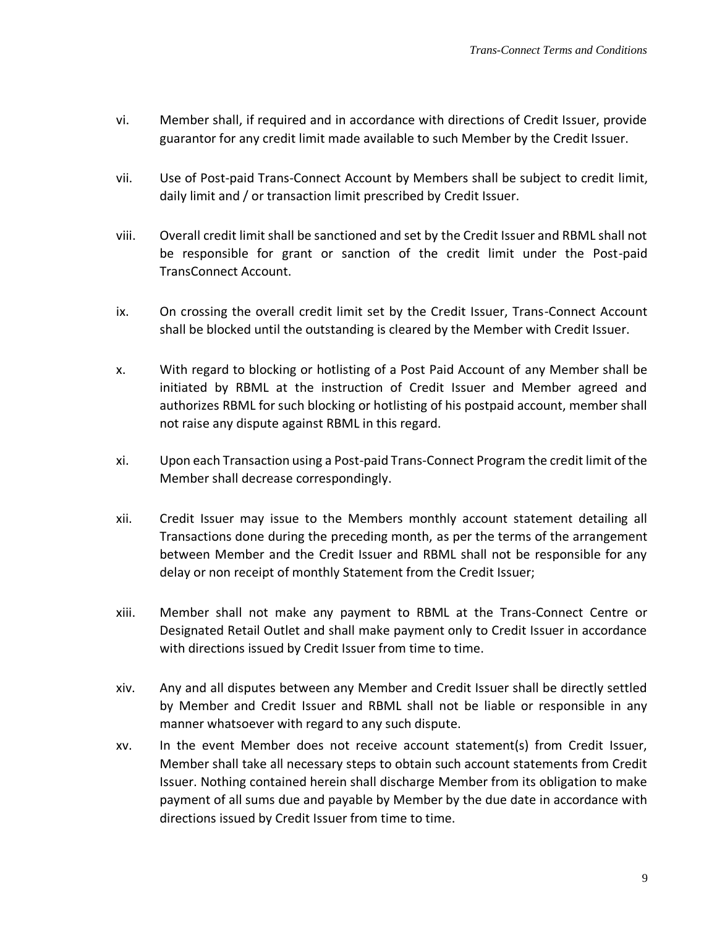- vi. Member shall, if required and in accordance with directions of Credit Issuer, provide guarantor for any credit limit made available to such Member by the Credit Issuer.
- vii. Use of Post-paid Trans-Connect Account by Members shall be subject to credit limit, daily limit and / or transaction limit prescribed by Credit Issuer.
- viii. Overall credit limit shall be sanctioned and set by the Credit Issuer and RBML shall not be responsible for grant or sanction of the credit limit under the Post-paid TransConnect Account.
- ix. On crossing the overall credit limit set by the Credit Issuer, Trans-Connect Account shall be blocked until the outstanding is cleared by the Member with Credit Issuer.
- x. With regard to blocking or hotlisting of a Post Paid Account of any Member shall be initiated by RBML at the instruction of Credit Issuer and Member agreed and authorizes RBML for such blocking or hotlisting of his postpaid account, member shall not raise any dispute against RBML in this regard.
- xi. Upon each Transaction using a Post-paid Trans-Connect Program the credit limit of the Member shall decrease correspondingly.
- xii. Credit Issuer may issue to the Members monthly account statement detailing all Transactions done during the preceding month, as per the terms of the arrangement between Member and the Credit Issuer and RBML shall not be responsible for any delay or non receipt of monthly Statement from the Credit Issuer;
- xiii. Member shall not make any payment to RBML at the Trans-Connect Centre or Designated Retail Outlet and shall make payment only to Credit Issuer in accordance with directions issued by Credit Issuer from time to time.
- xiv. Any and all disputes between any Member and Credit Issuer shall be directly settled by Member and Credit Issuer and RBML shall not be liable or responsible in any manner whatsoever with regard to any such dispute.
- xv. In the event Member does not receive account statement(s) from Credit Issuer, Member shall take all necessary steps to obtain such account statements from Credit Issuer. Nothing contained herein shall discharge Member from its obligation to make payment of all sums due and payable by Member by the due date in accordance with directions issued by Credit Issuer from time to time.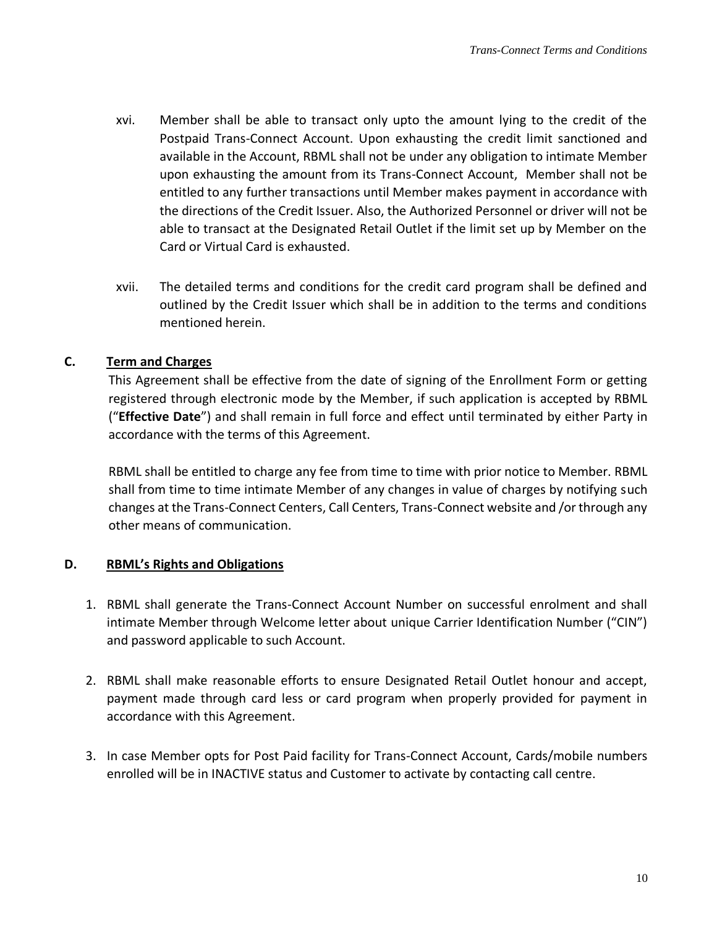- xvi. Member shall be able to transact only upto the amount lying to the credit of the Postpaid Trans-Connect Account. Upon exhausting the credit limit sanctioned and available in the Account, RBML shall not be under any obligation to intimate Member upon exhausting the amount from its Trans-Connect Account, Member shall not be entitled to any further transactions until Member makes payment in accordance with the directions of the Credit Issuer. Also, the Authorized Personnel or driver will not be able to transact at the Designated Retail Outlet if the limit set up by Member on the Card or Virtual Card is exhausted.
- xvii. The detailed terms and conditions for the credit card program shall be defined and outlined by the Credit Issuer which shall be in addition to the terms and conditions mentioned herein.

# **C. Term and Charges**

This Agreement shall be effective from the date of signing of the Enrollment Form or getting registered through electronic mode by the Member, if such application is accepted by RBML ("**Effective Date**") and shall remain in full force and effect until terminated by either Party in accordance with the terms of this Agreement.

RBML shall be entitled to charge any fee from time to time with prior notice to Member. RBML shall from time to time intimate Member of any changes in value of charges by notifying such changes at the Trans-Connect Centers, Call Centers, Trans-Connect website and /or through any other means of communication.

#### **D. RBML's Rights and Obligations**

- 1. RBML shall generate the Trans-Connect Account Number on successful enrolment and shall intimate Member through Welcome letter about unique Carrier Identification Number ("CIN") and password applicable to such Account.
- 2. RBML shall make reasonable efforts to ensure Designated Retail Outlet honour and accept, payment made through card less or card program when properly provided for payment in accordance with this Agreement.
- 3. In case Member opts for Post Paid facility for Trans-Connect Account, Cards/mobile numbers enrolled will be in INACTIVE status and Customer to activate by contacting call centre.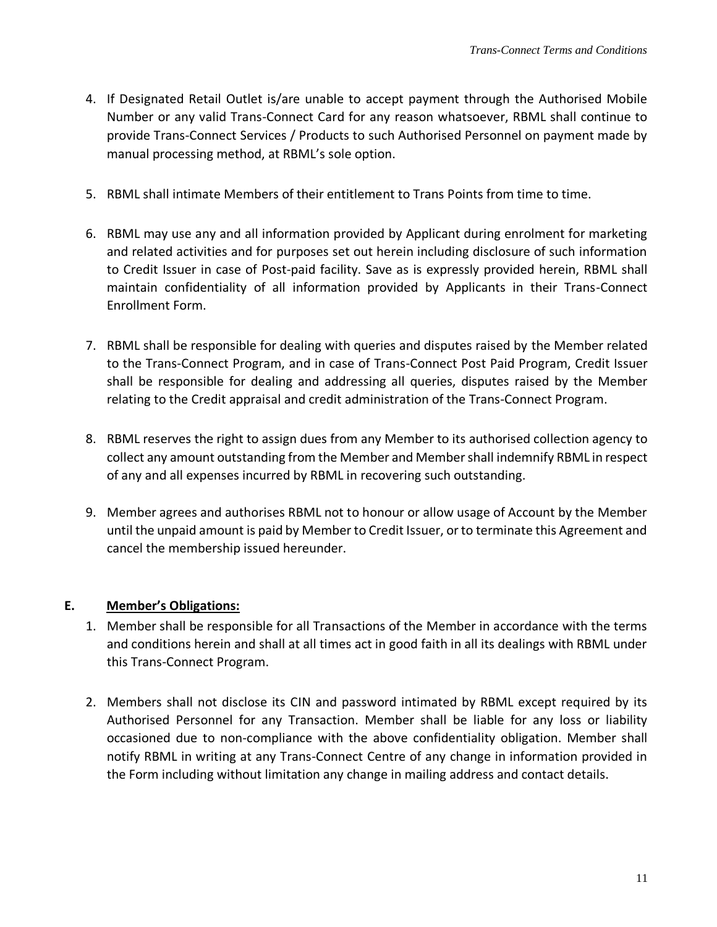- 4. If Designated Retail Outlet is/are unable to accept payment through the Authorised Mobile Number or any valid Trans-Connect Card for any reason whatsoever, RBML shall continue to provide Trans-Connect Services / Products to such Authorised Personnel on payment made by manual processing method, at RBML's sole option.
- 5. RBML shall intimate Members of their entitlement to Trans Points from time to time.
- 6. RBML may use any and all information provided by Applicant during enrolment for marketing and related activities and for purposes set out herein including disclosure of such information to Credit Issuer in case of Post-paid facility. Save as is expressly provided herein, RBML shall maintain confidentiality of all information provided by Applicants in their Trans-Connect Enrollment Form.
- 7. RBML shall be responsible for dealing with queries and disputes raised by the Member related to the Trans-Connect Program, and in case of Trans-Connect Post Paid Program, Credit Issuer shall be responsible for dealing and addressing all queries, disputes raised by the Member relating to the Credit appraisal and credit administration of the Trans-Connect Program.
- 8. RBML reserves the right to assign dues from any Member to its authorised collection agency to collect any amount outstanding from the Member and Member shall indemnify RBML in respect of any and all expenses incurred by RBML in recovering such outstanding.
- 9. Member agrees and authorises RBML not to honour or allow usage of Account by the Member until the unpaid amount is paid by Member to Credit Issuer, or to terminate this Agreement and cancel the membership issued hereunder.

# **E. Member's Obligations:**

- 1. Member shall be responsible for all Transactions of the Member in accordance with the terms and conditions herein and shall at all times act in good faith in all its dealings with RBML under this Trans-Connect Program.
- 2. Members shall not disclose its CIN and password intimated by RBML except required by its Authorised Personnel for any Transaction. Member shall be liable for any loss or liability occasioned due to non-compliance with the above confidentiality obligation. Member shall notify RBML in writing at any Trans-Connect Centre of any change in information provided in the Form including without limitation any change in mailing address and contact details.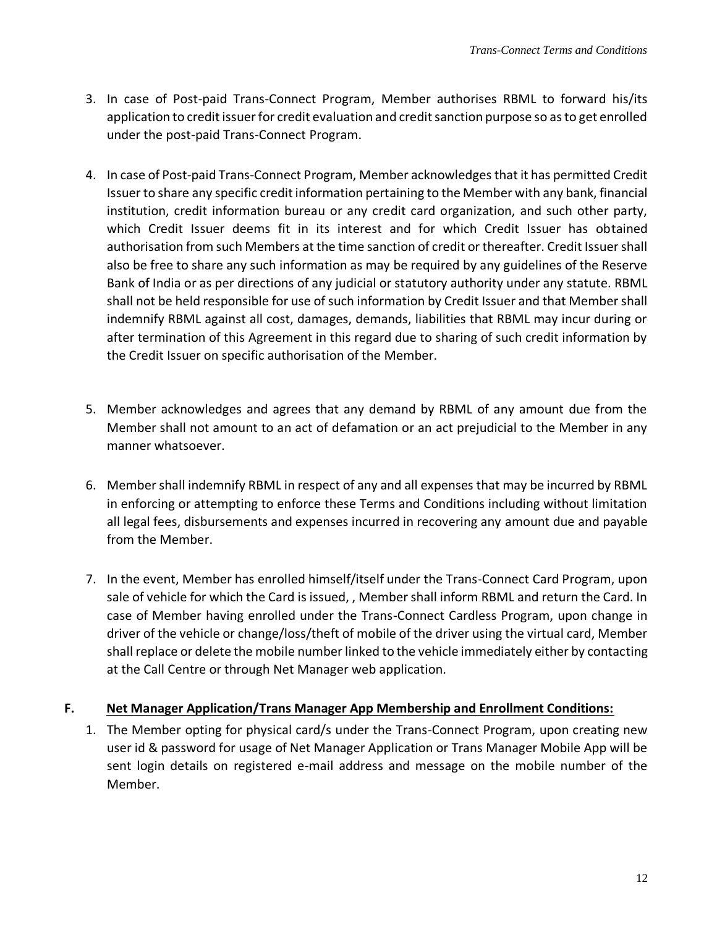- 3. In case of Post-paid Trans-Connect Program, Member authorises RBML to forward his/its application to credit issuer for credit evaluation and credit sanction purpose so as to get enrolled under the post-paid Trans-Connect Program.
- 4. In case of Post-paid Trans-Connect Program, Member acknowledges that it has permitted Credit Issuer to share any specific credit information pertaining to the Member with any bank, financial institution, credit information bureau or any credit card organization, and such other party, which Credit Issuer deems fit in its interest and for which Credit Issuer has obtained authorisation from such Members at the time sanction of credit or thereafter. Credit Issuer shall also be free to share any such information as may be required by any guidelines of the Reserve Bank of India or as per directions of any judicial or statutory authority under any statute. RBML shall not be held responsible for use of such information by Credit Issuer and that Member shall indemnify RBML against all cost, damages, demands, liabilities that RBML may incur during or after termination of this Agreement in this regard due to sharing of such credit information by the Credit Issuer on specific authorisation of the Member.
- 5. Member acknowledges and agrees that any demand by RBML of any amount due from the Member shall not amount to an act of defamation or an act prejudicial to the Member in any manner whatsoever.
- 6. Member shall indemnify RBML in respect of any and all expenses that may be incurred by RBML in enforcing or attempting to enforce these Terms and Conditions including without limitation all legal fees, disbursements and expenses incurred in recovering any amount due and payable from the Member.
- 7. In the event, Member has enrolled himself/itself under the Trans-Connect Card Program, upon sale of vehicle for which the Card is issued, , Member shall inform RBML and return the Card. In case of Member having enrolled under the Trans-Connect Cardless Program, upon change in driver of the vehicle or change/loss/theft of mobile of the driver using the virtual card, Member shall replace or delete the mobile number linked to the vehicle immediately either by contacting at the Call Centre or through Net Manager web application.

# **F. Net Manager Application/Trans Manager App Membership and Enrollment Conditions:**

1. The Member opting for physical card/s under the Trans-Connect Program, upon creating new user id & password for usage of Net Manager Application or Trans Manager Mobile App will be sent login details on registered e-mail address and message on the mobile number of the Member.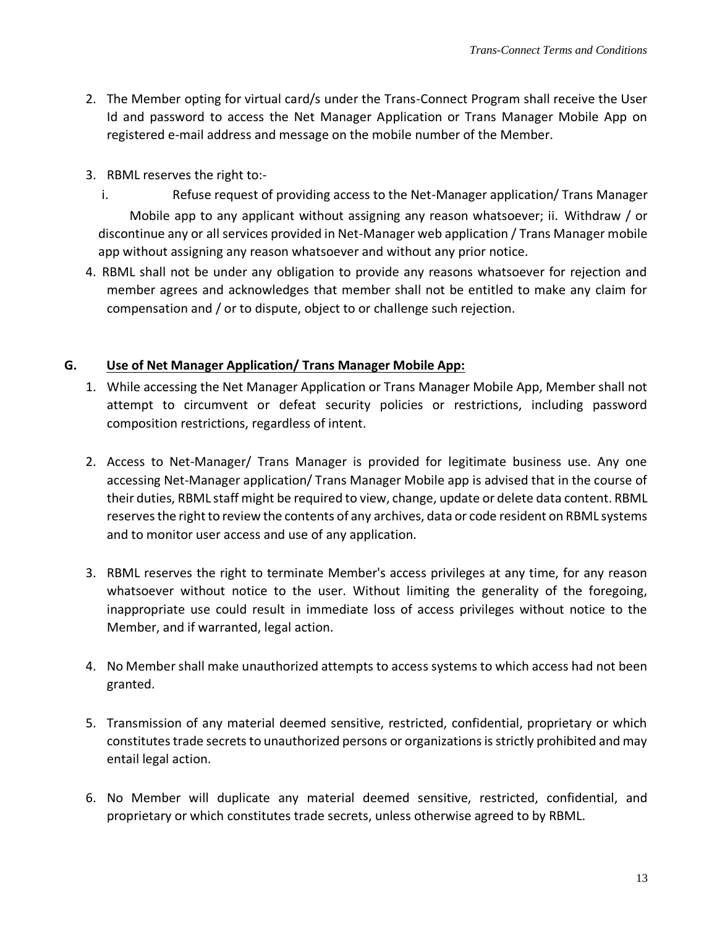- 2. The Member opting for virtual card/s under the Trans-Connect Program shall receive the User Id and password to access the Net Manager Application or Trans Manager Mobile App on registered e-mail address and message on the mobile number of the Member.
- 3. RBML reserves the right to:
	- i. Refuse request of providing access to the Net-Manager application/ Trans Manager Mobile app to any applicant without assigning any reason whatsoever; ii. Withdraw / or discontinue any or all services provided in Net-Manager web application / Trans Manager mobile app without assigning any reason whatsoever and without any prior notice.
- 4. RBML shall not be under any obligation to provide any reasons whatsoever for rejection and member agrees and acknowledges that member shall not be entitled to make any claim for compensation and / or to dispute, object to or challenge such rejection.

#### **G. Use of Net Manager Application/ Trans Manager Mobile App:**

- 1. While accessing the Net Manager Application or Trans Manager Mobile App, Member shall not attempt to circumvent or defeat security policies or restrictions, including password composition restrictions, regardless of intent.
- 2. Access to Net-Manager/ Trans Manager is provided for legitimate business use. Any one accessing Net-Manager application/ Trans Manager Mobile app is advised that in the course of their duties, RBML staff might be required to view, change, update or delete data content. RBML reserves the right to review the contents of any archives, data or code resident on RBML systems and to monitor user access and use of any application.
- 3. RBML reserves the right to terminate Member's access privileges at any time, for any reason whatsoever without notice to the user. Without limiting the generality of the foregoing, inappropriate use could result in immediate loss of access privileges without notice to the Member, and if warranted, legal action.
- 4. No Member shall make unauthorized attempts to access systems to which access had not been granted.
- 5. Transmission of any material deemed sensitive, restricted, confidential, proprietary or which constitutes trade secrets to unauthorized persons or organizations is strictly prohibited and may entail legal action.
- 6. No Member will duplicate any material deemed sensitive, restricted, confidential, and proprietary or which constitutes trade secrets, unless otherwise agreed to by RBML.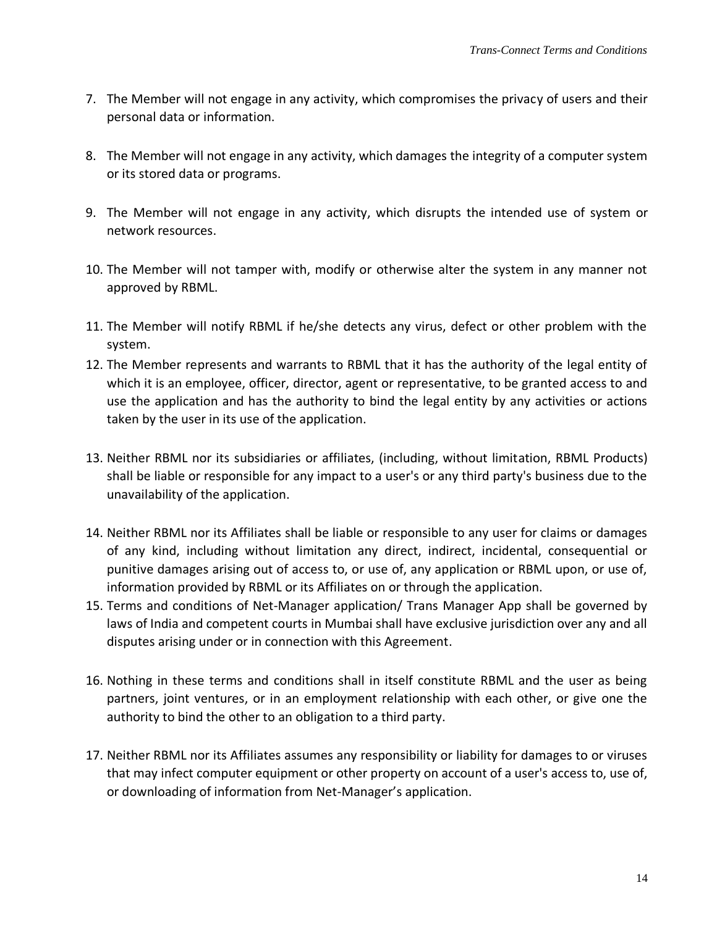- 7. The Member will not engage in any activity, which compromises the privacy of users and their personal data or information.
- 8. The Member will not engage in any activity, which damages the integrity of a computer system or its stored data or programs.
- 9. The Member will not engage in any activity, which disrupts the intended use of system or network resources.
- 10. The Member will not tamper with, modify or otherwise alter the system in any manner not approved by RBML.
- 11. The Member will notify RBML if he/she detects any virus, defect or other problem with the system.
- 12. The Member represents and warrants to RBML that it has the authority of the legal entity of which it is an employee, officer, director, agent or representative, to be granted access to and use the application and has the authority to bind the legal entity by any activities or actions taken by the user in its use of the application.
- 13. Neither RBML nor its subsidiaries or affiliates, (including, without limitation, RBML Products) shall be liable or responsible for any impact to a user's or any third party's business due to the unavailability of the application.
- 14. Neither RBML nor its Affiliates shall be liable or responsible to any user for claims or damages of any kind, including without limitation any direct, indirect, incidental, consequential or punitive damages arising out of access to, or use of, any application or RBML upon, or use of, information provided by RBML or its Affiliates on or through the application.
- 15. Terms and conditions of Net-Manager application/ Trans Manager App shall be governed by laws of India and competent courts in Mumbai shall have exclusive jurisdiction over any and all disputes arising under or in connection with this Agreement.
- 16. Nothing in these terms and conditions shall in itself constitute RBML and the user as being partners, joint ventures, or in an employment relationship with each other, or give one the authority to bind the other to an obligation to a third party.
- 17. Neither RBML nor its Affiliates assumes any responsibility or liability for damages to or viruses that may infect computer equipment or other property on account of a user's access to, use of, or downloading of information from Net-Manager's application.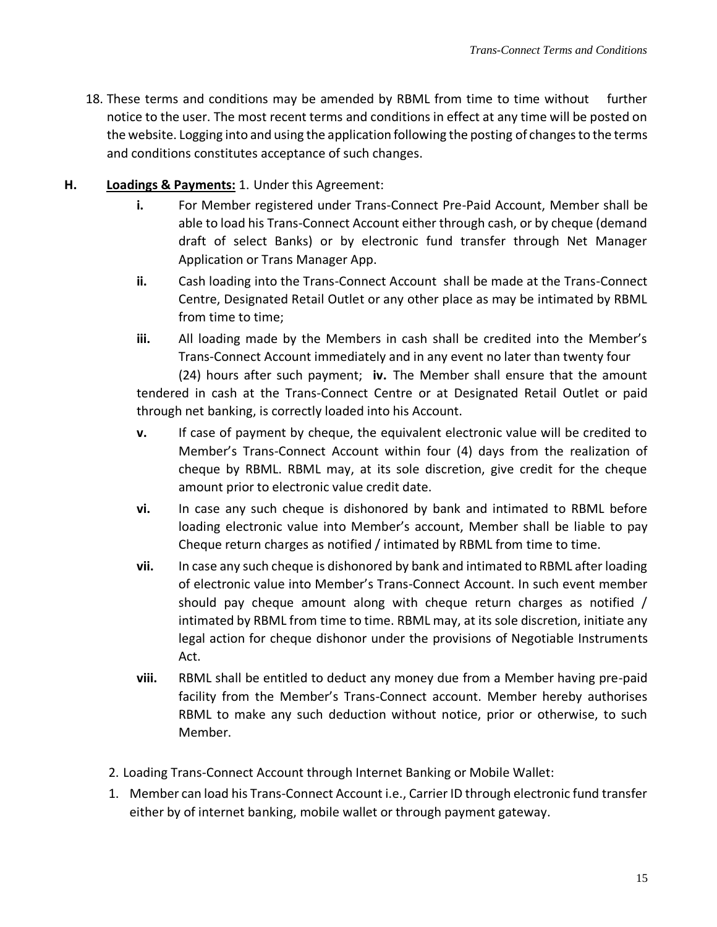18. These terms and conditions may be amended by RBML from time to time without further notice to the user. The most recent terms and conditions in effect at any time will be posted on the website. Logging into and using the application following the posting of changes to the terms and conditions constitutes acceptance of such changes.

# **H. Loadings & Payments:** 1. Under this Agreement:

- **i.** For Member registered under Trans-Connect Pre-Paid Account, Member shall be able to load his Trans-Connect Account either through cash, or by cheque (demand draft of select Banks) or by electronic fund transfer through Net Manager Application or Trans Manager App.
- **ii.** Cash loading into the Trans-Connect Account shall be made at the Trans-Connect Centre, Designated Retail Outlet or any other place as may be intimated by RBML from time to time;
- **iii.** All loading made by the Members in cash shall be credited into the Member's Trans-Connect Account immediately and in any event no later than twenty four (24) hours after such payment; **iv.** The Member shall ensure that the amount tendered in cash at the Trans-Connect Centre or at Designated Retail Outlet or paid through net banking, is correctly loaded into his Account.
- **v.** If case of payment by cheque, the equivalent electronic value will be credited to Member's Trans-Connect Account within four (4) days from the realization of cheque by RBML. RBML may, at its sole discretion, give credit for the cheque amount prior to electronic value credit date.
- **vi.** In case any such cheque is dishonored by bank and intimated to RBML before loading electronic value into Member's account, Member shall be liable to pay Cheque return charges as notified / intimated by RBML from time to time.
- **vii.** In case any such cheque is dishonored by bank and intimated to RBML after loading of electronic value into Member's Trans-Connect Account. In such event member should pay cheque amount along with cheque return charges as notified / intimated by RBML from time to time. RBML may, at its sole discretion, initiate any legal action for cheque dishonor under the provisions of Negotiable Instruments Act.
- **viii.** RBML shall be entitled to deduct any money due from a Member having pre-paid facility from the Member's Trans-Connect account. Member hereby authorises RBML to make any such deduction without notice, prior or otherwise, to such Member.
- 2. Loading Trans-Connect Account through Internet Banking or Mobile Wallet:
- 1. Member can load his Trans-Connect Account i.e., Carrier ID through electronic fund transfer either by of internet banking, mobile wallet or through payment gateway.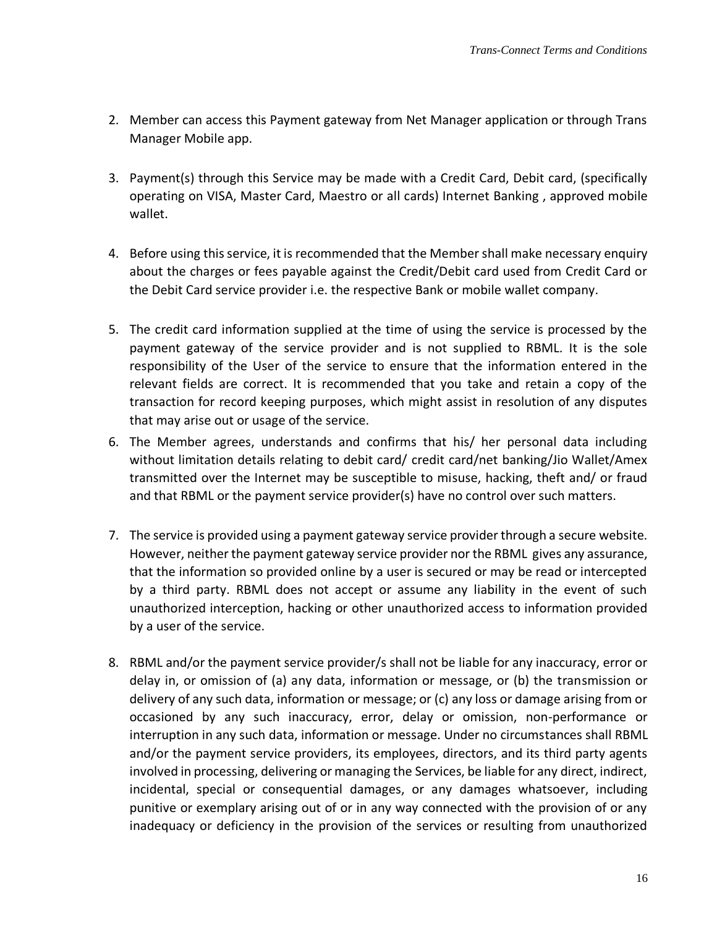- 2. Member can access this Payment gateway from Net Manager application or through Trans Manager Mobile app.
- 3. Payment(s) through this Service may be made with a Credit Card, Debit card, (specifically operating on VISA, Master Card, Maestro or all cards) Internet Banking , approved mobile wallet.
- 4. Before using this service, it is recommended that the Member shall make necessary enquiry about the charges or fees payable against the Credit/Debit card used from Credit Card or the Debit Card service provider i.e. the respective Bank or mobile wallet company.
- 5. The credit card information supplied at the time of using the service is processed by the payment gateway of the service provider and is not supplied to RBML. It is the sole responsibility of the User of the service to ensure that the information entered in the relevant fields are correct. It is recommended that you take and retain a copy of the transaction for record keeping purposes, which might assist in resolution of any disputes that may arise out or usage of the service.
- 6. The Member agrees, understands and confirms that his/ her personal data including without limitation details relating to debit card/ credit card/net banking/Jio Wallet/Amex transmitted over the Internet may be susceptible to misuse, hacking, theft and/ or fraud and that RBML or the payment service provider(s) have no control over such matters.
- 7. The service is provided using a payment gateway service provider through a secure website. However, neither the payment gateway service provider nor the RBML gives any assurance, that the information so provided online by a user is secured or may be read or intercepted by a third party. RBML does not accept or assume any liability in the event of such unauthorized interception, hacking or other unauthorized access to information provided by a user of the service.
- 8. RBML and/or the payment service provider/s shall not be liable for any inaccuracy, error or delay in, or omission of (a) any data, information or message, or (b) the transmission or delivery of any such data, information or message; or (c) any loss or damage arising from or occasioned by any such inaccuracy, error, delay or omission, non-performance or interruption in any such data, information or message. Under no circumstances shall RBML and/or the payment service providers, its employees, directors, and its third party agents involved in processing, delivering or managing the Services, be liable for any direct, indirect, incidental, special or consequential damages, or any damages whatsoever, including punitive or exemplary arising out of or in any way connected with the provision of or any inadequacy or deficiency in the provision of the services or resulting from unauthorized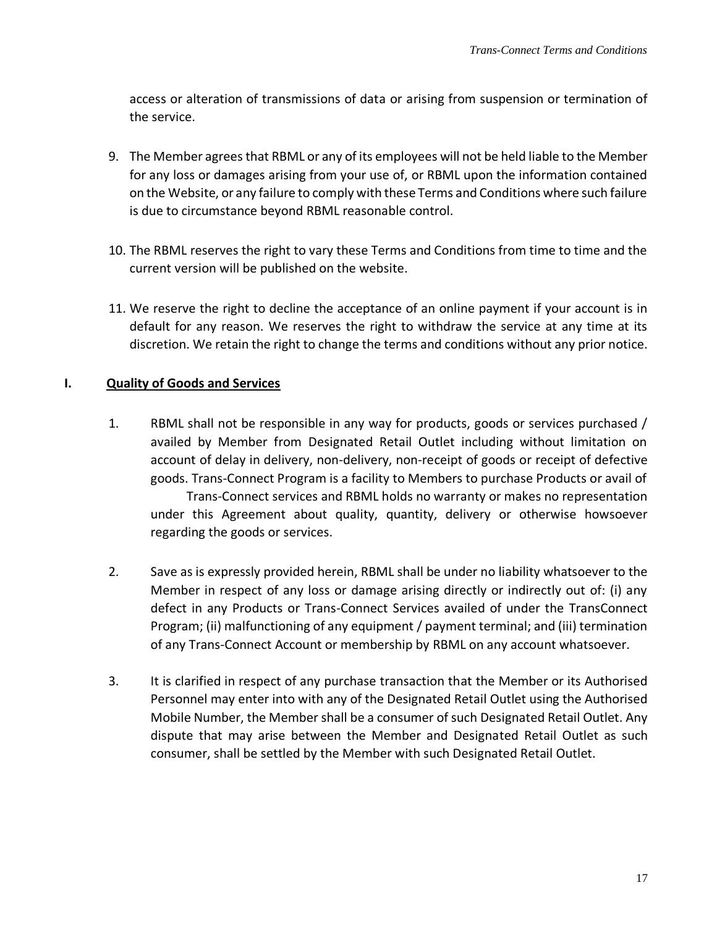access or alteration of transmissions of data or arising from suspension or termination of the service.

- 9. The Member agrees that RBML or any of its employees will not be held liable to the Member for any loss or damages arising from your use of, or RBML upon the information contained on the Website, or any failure to comply with these Terms and Conditions where such failure is due to circumstance beyond RBML reasonable control.
- 10. The RBML reserves the right to vary these Terms and Conditions from time to time and the current version will be published on the website.
- 11. We reserve the right to decline the acceptance of an online payment if your account is in default for any reason. We reserves the right to withdraw the service at any time at its discretion. We retain the right to change the terms and conditions without any prior notice.

# **I. Quality of Goods and Services**

- 1. RBML shall not be responsible in any way for products, goods or services purchased / availed by Member from Designated Retail Outlet including without limitation on account of delay in delivery, non-delivery, non-receipt of goods or receipt of defective goods. Trans-Connect Program is a facility to Members to purchase Products or avail of Trans-Connect services and RBML holds no warranty or makes no representation under this Agreement about quality, quantity, delivery or otherwise howsoever regarding the goods or services.
- 2. Save as is expressly provided herein, RBML shall be under no liability whatsoever to the Member in respect of any loss or damage arising directly or indirectly out of: (i) any defect in any Products or Trans-Connect Services availed of under the TransConnect Program; (ii) malfunctioning of any equipment / payment terminal; and (iii) termination of any Trans-Connect Account or membership by RBML on any account whatsoever.
- 3. It is clarified in respect of any purchase transaction that the Member or its Authorised Personnel may enter into with any of the Designated Retail Outlet using the Authorised Mobile Number, the Member shall be a consumer of such Designated Retail Outlet. Any dispute that may arise between the Member and Designated Retail Outlet as such consumer, shall be settled by the Member with such Designated Retail Outlet.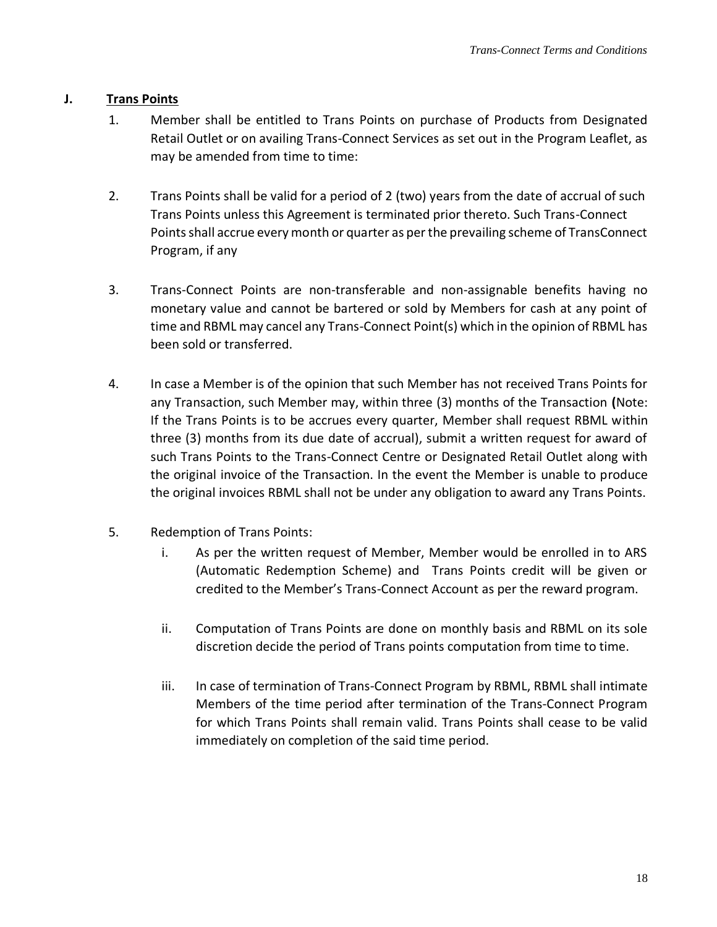### **J. Trans Points**

- 1. Member shall be entitled to Trans Points on purchase of Products from Designated Retail Outlet or on availing Trans-Connect Services as set out in the Program Leaflet, as may be amended from time to time:
- 2. Trans Points shall be valid for a period of 2 (two) years from the date of accrual of such Trans Points unless this Agreement is terminated prior thereto. Such Trans-Connect Points shall accrue every month or quarter as per the prevailing scheme of TransConnect Program, if any
- 3. Trans-Connect Points are non-transferable and non-assignable benefits having no monetary value and cannot be bartered or sold by Members for cash at any point of time and RBML may cancel any Trans-Connect Point(s) which in the opinion of RBML has been sold or transferred.
- 4. In case a Member is of the opinion that such Member has not received Trans Points for any Transaction, such Member may, within three (3) months of the Transaction **(**Note: If the Trans Points is to be accrues every quarter, Member shall request RBML within three (3) months from its due date of accrual), submit a written request for award of such Trans Points to the Trans-Connect Centre or Designated Retail Outlet along with the original invoice of the Transaction. In the event the Member is unable to produce the original invoices RBML shall not be under any obligation to award any Trans Points.
- 5. Redemption of Trans Points:
	- i. As per the written request of Member, Member would be enrolled in to ARS (Automatic Redemption Scheme) and Trans Points credit will be given or credited to the Member's Trans-Connect Account as per the reward program.
	- ii. Computation of Trans Points are done on monthly basis and RBML on its sole discretion decide the period of Trans points computation from time to time.
	- iii. In case of termination of Trans-Connect Program by RBML, RBML shall intimate Members of the time period after termination of the Trans-Connect Program for which Trans Points shall remain valid. Trans Points shall cease to be valid immediately on completion of the said time period.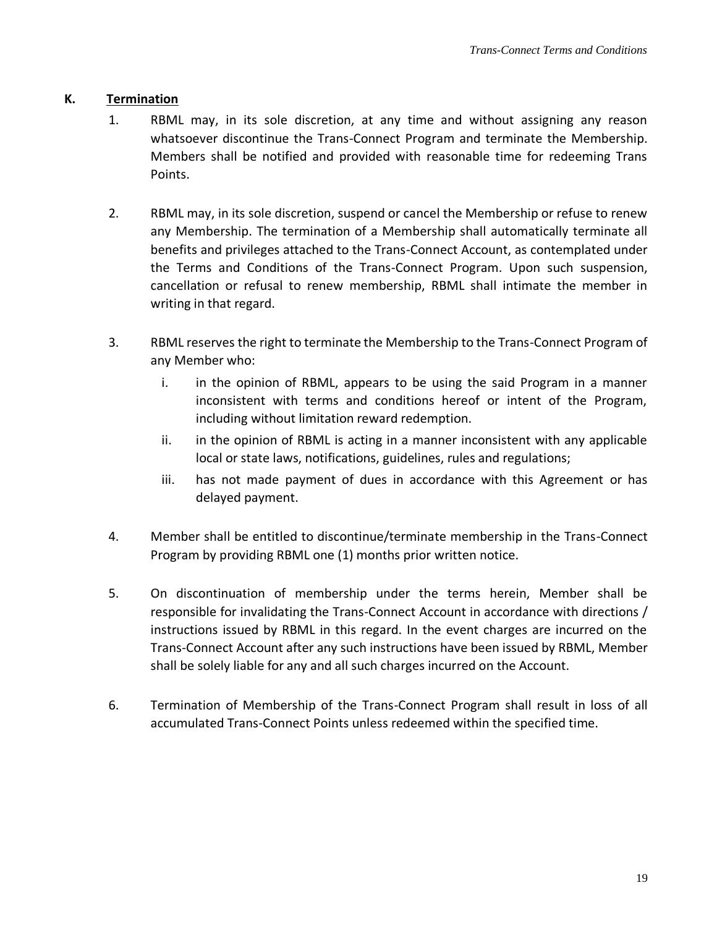## **K. Termination**

- 1. RBML may, in its sole discretion, at any time and without assigning any reason whatsoever discontinue the Trans-Connect Program and terminate the Membership. Members shall be notified and provided with reasonable time for redeeming Trans Points.
- 2. RBML may, in its sole discretion, suspend or cancel the Membership or refuse to renew any Membership. The termination of a Membership shall automatically terminate all benefits and privileges attached to the Trans-Connect Account, as contemplated under the Terms and Conditions of the Trans-Connect Program. Upon such suspension, cancellation or refusal to renew membership, RBML shall intimate the member in writing in that regard.
- 3. RBML reserves the right to terminate the Membership to the Trans-Connect Program of any Member who:
	- i. in the opinion of RBML, appears to be using the said Program in a manner inconsistent with terms and conditions hereof or intent of the Program, including without limitation reward redemption.
	- ii. in the opinion of RBML is acting in a manner inconsistent with any applicable local or state laws, notifications, guidelines, rules and regulations;
	- iii. has not made payment of dues in accordance with this Agreement or has delayed payment.
- 4. Member shall be entitled to discontinue/terminate membership in the Trans-Connect Program by providing RBML one (1) months prior written notice.
- 5. On discontinuation of membership under the terms herein, Member shall be responsible for invalidating the Trans-Connect Account in accordance with directions / instructions issued by RBML in this regard. In the event charges are incurred on the Trans-Connect Account after any such instructions have been issued by RBML, Member shall be solely liable for any and all such charges incurred on the Account.
- 6. Termination of Membership of the Trans-Connect Program shall result in loss of all accumulated Trans-Connect Points unless redeemed within the specified time.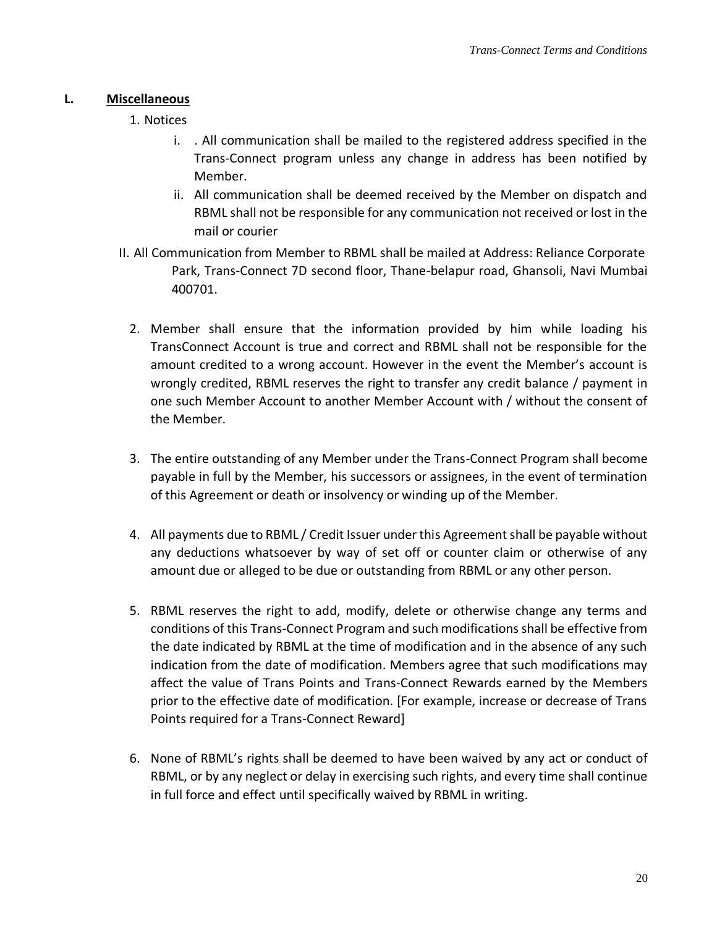#### **L. Miscellaneous**

- 1. Notices
	- i. . All communication shall be mailed to the registered address specified in the Trans-Connect program unless any change in address has been notified by Member.
	- ii. All communication shall be deemed received by the Member on dispatch and RBML shall not be responsible for any communication not received or lost in the mail or courier
- II. All Communication from Member to RBML shall be mailed at Address: Reliance Corporate Park, Trans-Connect 7D second floor, Thane-belapur road, Ghansoli, Navi Mumbai 400701.
	- 2. Member shall ensure that the information provided by him while loading his TransConnect Account is true and correct and RBML shall not be responsible for the amount credited to a wrong account. However in the event the Member's account is wrongly credited, RBML reserves the right to transfer any credit balance / payment in one such Member Account to another Member Account with / without the consent of the Member.
	- 3. The entire outstanding of any Member under the Trans-Connect Program shall become payable in full by the Member, his successors or assignees, in the event of termination of this Agreement or death or insolvency or winding up of the Member.
	- 4. All payments due to RBML / Credit Issuer under this Agreement shall be payable without any deductions whatsoever by way of set off or counter claim or otherwise of any amount due or alleged to be due or outstanding from RBML or any other person.
	- 5. RBML reserves the right to add, modify, delete or otherwise change any terms and conditions of this Trans-Connect Program and such modifications shall be effective from the date indicated by RBML at the time of modification and in the absence of any such indication from the date of modification. Members agree that such modifications may affect the value of Trans Points and Trans-Connect Rewards earned by the Members prior to the effective date of modification. [For example, increase or decrease of Trans Points required for a Trans-Connect Reward]
	- 6. None of RBML's rights shall be deemed to have been waived by any act or conduct of RBML, or by any neglect or delay in exercising such rights, and every time shall continue in full force and effect until specifically waived by RBML in writing.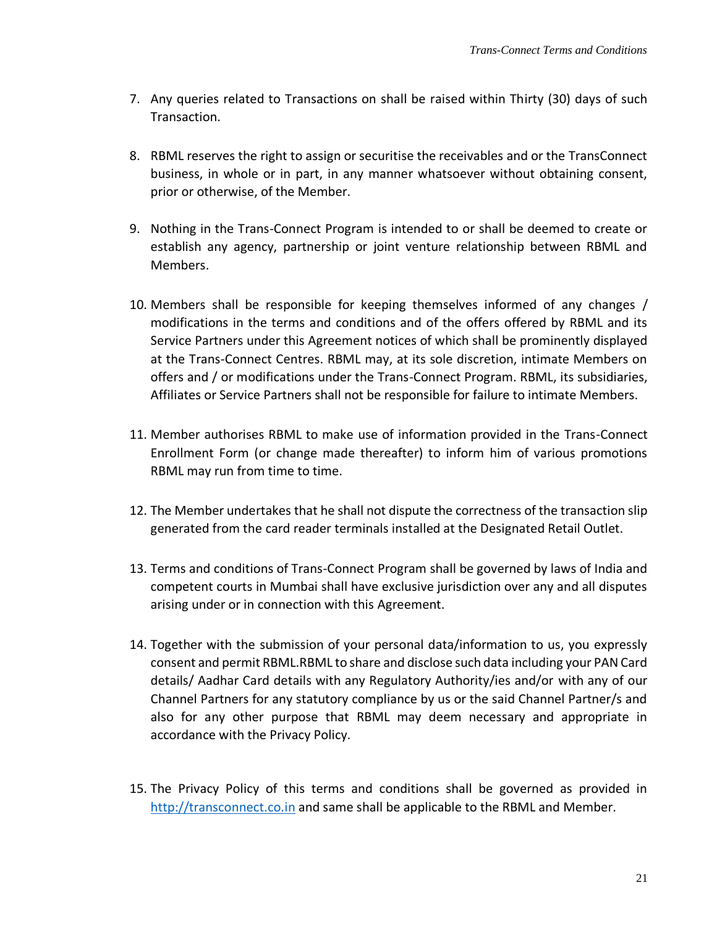- 7. Any queries related to Transactions on shall be raised within Thirty (30) days of such Transaction.
- 8. RBML reserves the right to assign or securitise the receivables and or the TransConnect business, in whole or in part, in any manner whatsoever without obtaining consent, prior or otherwise, of the Member.
- 9. Nothing in the Trans-Connect Program is intended to or shall be deemed to create or establish any agency, partnership or joint venture relationship between RBML and Members.
- 10. Members shall be responsible for keeping themselves informed of any changes / modifications in the terms and conditions and of the offers offered by RBML and its Service Partners under this Agreement notices of which shall be prominently displayed at the Trans-Connect Centres. RBML may, at its sole discretion, intimate Members on offers and / or modifications under the Trans-Connect Program. RBML, its subsidiaries, Affiliates or Service Partners shall not be responsible for failure to intimate Members.
- 11. Member authorises RBML to make use of information provided in the Trans-Connect Enrollment Form (or change made thereafter) to inform him of various promotions RBML may run from time to time.
- 12. The Member undertakes that he shall not dispute the correctness of the transaction slip generated from the card reader terminals installed at the Designated Retail Outlet.
- 13. Terms and conditions of Trans-Connect Program shall be governed by laws of India and competent courts in Mumbai shall have exclusive jurisdiction over any and all disputes arising under or in connection with this Agreement.
- 14. Together with the submission of your personal data/information to us, you expressly consent and permit RBML.RBML to share and disclose such data including your PAN Card details/ Aadhar Card details with any Regulatory Authority/ies and/or with any of our Channel Partners for any statutory compliance by us or the said Channel Partner/s and also for any other purpose that RBML may deem necessary and appropriate in accordance with the Privacy Policy.
- 15. The Privacy Policy of this terms and conditions shall be governed as provided in [http://transconnect.co.in](http://transconnect.co.in/) [an](http://transconnect.co.in/)d same shall be applicable to the RBML and Member.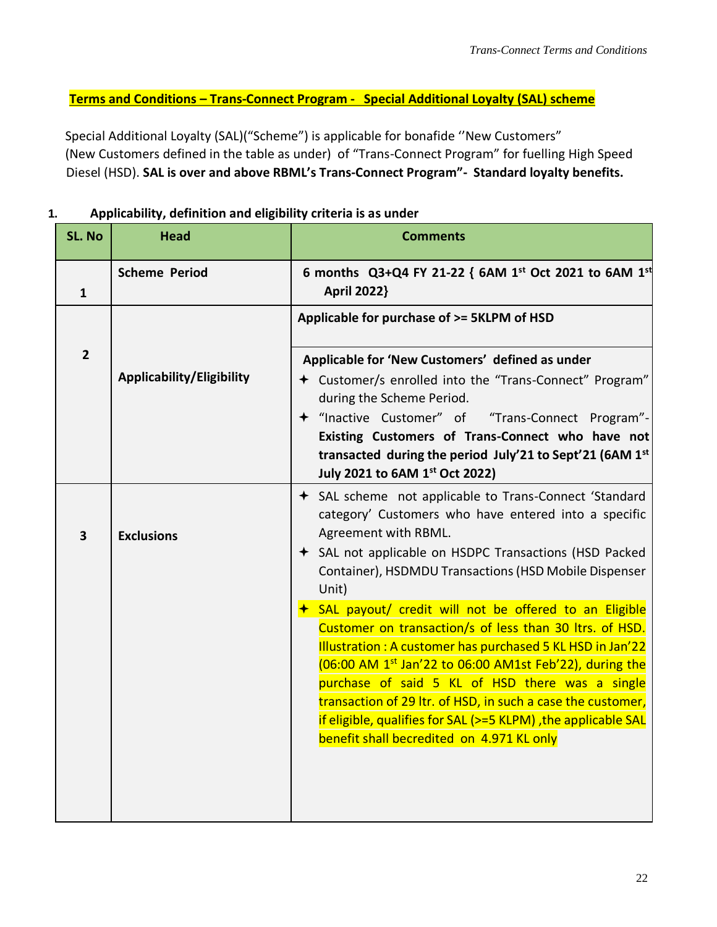**Terms and Conditions – Trans-Connect Program - Special Additional Loyalty (SAL) scheme** 

Special Additional Loyalty (SAL)("Scheme") is applicable for bonafide ''New Customers" (New Customers defined in the table as under) of "Trans-Connect Program" for fuelling High Speed Diesel (HSD). **SAL is over and above RBML's Trans-Connect Program"- Standard loyalty benefits.** 

| <b>SL. No</b>  | Head                      | <b>Comments</b>                                                                                                                                                                                                                                                                                                                                                                                                                                                                      |  |
|----------------|---------------------------|--------------------------------------------------------------------------------------------------------------------------------------------------------------------------------------------------------------------------------------------------------------------------------------------------------------------------------------------------------------------------------------------------------------------------------------------------------------------------------------|--|
| $\mathbf{1}$   | <b>Scheme Period</b>      | 6 months Q3+Q4 FY 21-22 { 6AM 1 <sup>st</sup> Oct 2021 to 6AM 1 <sup>st</sup><br><b>April 2022}</b>                                                                                                                                                                                                                                                                                                                                                                                  |  |
| $\overline{2}$ | Applicability/Eligibility | Applicable for purchase of >= 5KLPM of HSD<br>Applicable for 'New Customers' defined as under<br>+ Customer/s enrolled into the "Trans-Connect" Program"<br>during the Scheme Period.<br>+ "Inactive Customer" of "Trans-Connect Program"-                                                                                                                                                                                                                                           |  |
|                |                           | Existing Customers of Trans-Connect who have not<br>transacted during the period July'21 to Sept'21 (6AM 1st<br>July 2021 to 6AM 1st Oct 2022)                                                                                                                                                                                                                                                                                                                                       |  |
| 3              | <b>Exclusions</b>         | ← SAL scheme not applicable to Trans-Connect 'Standard<br>category' Customers who have entered into a specific<br>Agreement with RBML.<br>← SAL not applicable on HSDPC Transactions (HSD Packed<br>Container), HSDMDU Transactions (HSD Mobile Dispenser<br>Unit)                                                                                                                                                                                                                   |  |
|                |                           | SAL payout/ credit will not be offered to an Eligible<br>Customer on transaction/s of less than 30 ltrs. of HSD.<br>Illustration: A customer has purchased 5 KL HSD in Jan'22<br>(06:00 AM 1 <sup>st</sup> Jan'22 to 06:00 AM1st Feb'22), during the<br>purchase of said 5 KL of HSD there was a single<br>transaction of 29 ltr. of HSD, in such a case the customer,<br>if eligible, qualifies for SAL (>=5 KLPM), the applicable SAL<br>benefit shall becredited on 4.971 KL only |  |

## **1. Applicability, definition and eligibility criteria is as under**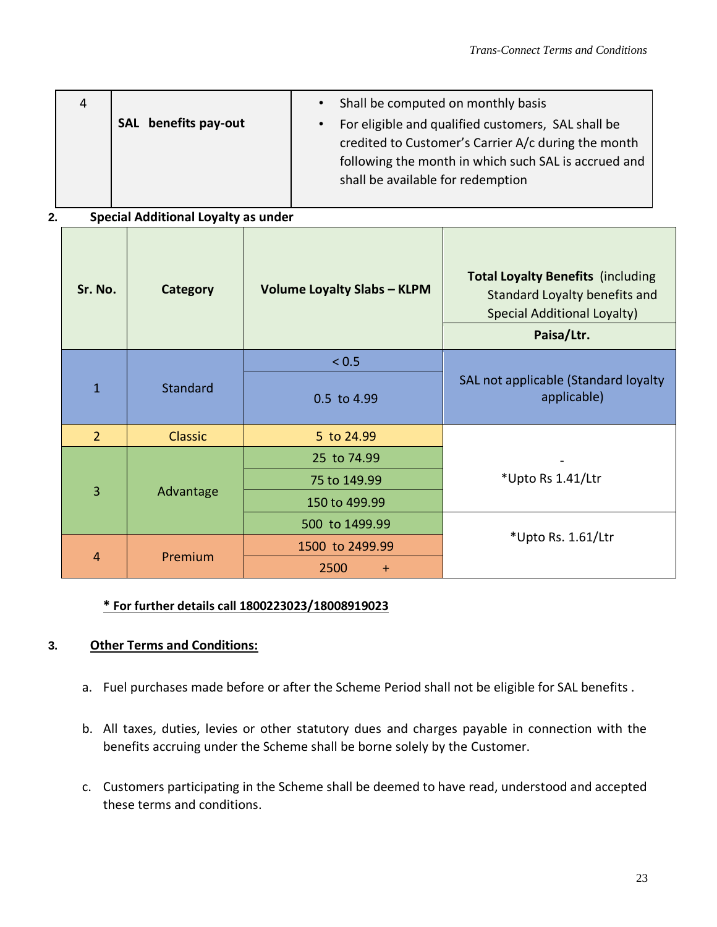| Shall be computed on monthly basis<br>SAL benefits pay-out<br>For eligible and qualified customers, SAL shall be<br>credited to Customer's Carrier A/c during the month<br>following the month in which such SAL is accrued and<br>shall be available for redemption |
|----------------------------------------------------------------------------------------------------------------------------------------------------------------------------------------------------------------------------------------------------------------------|
|----------------------------------------------------------------------------------------------------------------------------------------------------------------------------------------------------------------------------------------------------------------------|

# **2. Special Additional Loyalty as under**

| Sr. No.        | Category  | <b>Volume Loyalty Slabs - KLPM</b> | <b>Total Loyalty Benefits (including</b><br>Standard Loyalty benefits and<br><b>Special Additional Loyalty)</b><br>Paisa/Ltr. |
|----------------|-----------|------------------------------------|-------------------------------------------------------------------------------------------------------------------------------|
| $\mathbf{1}$   | Standard  | < 0.5                              |                                                                                                                               |
|                |           | 0.5 to 4.99                        | SAL not applicable (Standard loyalty<br>applicable)                                                                           |
| $\overline{2}$ | Classic   | 5 to 24.99                         |                                                                                                                               |
| 3              | Advantage | 25 to 74.99                        |                                                                                                                               |
|                |           | 75 to 149.99                       | *Upto Rs 1.41/Ltr                                                                                                             |
|                |           | 150 to 499.99                      |                                                                                                                               |
|                |           | 500 to 1499.99                     |                                                                                                                               |
| $\overline{4}$ | Premium   | 1500 to 2499.99                    | *Upto Rs. 1.61/Ltr                                                                                                            |
|                |           | 2500<br>$+$                        |                                                                                                                               |

# **\* For further details call 1800223023/18008919023**

#### **3. Other Terms and Conditions:**

- a. Fuel purchases made before or after the Scheme Period shall not be eligible for SAL benefits .
- b. All taxes, duties, levies or other statutory dues and charges payable in connection with the benefits accruing under the Scheme shall be borne solely by the Customer.
- c. Customers participating in the Scheme shall be deemed to have read, understood and accepted these terms and conditions.